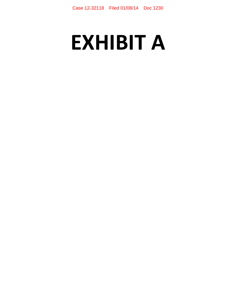# **EXHIBIT A**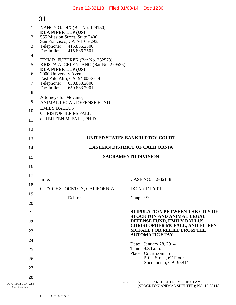#### DLA PIPER LLP (US) SAN FRANCISCO 1 2 3 4 5 6 7 8 9 10 11 12 13 14 15 16 17 18 19 20 21 22 23 24 25 26 27 28 **31**  -1- STIP. FOR RELIEF FROM THE STAY (STOCKTON ANIMAL SHELTER); NO. 12-32118 NANCY O. DIX (Bar No. 129150) **DLA PIPER LLP (US)**  555 Mission Street, Suite 2400 San Francisco, CA 94105-2933 Telephone: 415.836.2500<br>Facsimile: 415.836.2501 Facsimile: 415.836.2501 ERIK R. FUEHRER (Bar No. 252578) KRISTA A. CELENTANO (Bar No. 279526) **DLA PIPER LLP (US)**  2000 University Avenue East Palo Alto, CA 94303-2214<br>Telephone: 650.833.2000 Telephone: 650.833.2000<br>Facsimile: 650.833.2001 Facsimile: 650.833.2001 Attorneys for Movants, ANIMAL LEGAL DEFENSE FUND EMILY BALLUS CHRISTOPHER McFALL and EILEEN McFALL, PH.D. **UNITED STATES BANKRUPTCY COURT EASTERN DISTRICT OF CALIFORNIA SACRAMENTO DIVISION**  In re: CITY OF STOCKTON, CALIFORNIA Debtor. CASE NO. 12-32118 DC No. DLA-01 Chapter 9 **STIPULATION BETWEEN THE CITY OF STOCKTON AND ANIMAL LEGAL DEFENSE FUND, EMILY BALLUS, CHRISTOPHER MCFALL, AND EILEEN MCFALL FOR RELIEF FROM THE AUTOMATIC STAY**  Date: January 28, 2014 Time: 9:30 a.m. Place: Courtroom 35  $501$  I Street,  $6<sup>th</sup>$  Floor Sacramento, CA 95814 Case 12-32118 Filed 01/08/14 Doc 1230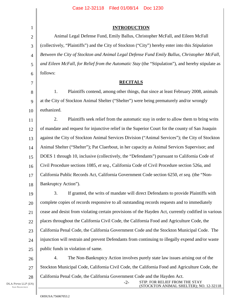| $\mathbf{1}$   | <b>INTRODUCTION</b>                                                                                 |
|----------------|-----------------------------------------------------------------------------------------------------|
| $\overline{2}$ | Animal Legal Defense Fund, Emily Ballus, Christopher McFall, and Eileen McFall                      |
| 3              | (collectively, "Plaintiffs") and the City of Stockton ("City") hereby enter into this Stipulation   |
| $\overline{4}$ | Between the City of Stockton and Animal Legal Defense Fund Emily Ballus, Christopher McFall,        |
| 5              | and Eileen McFall, for Relief from the Automatic Stay (the "Stipulation"), and hereby stipulate as  |
| 6              | follows:                                                                                            |
| 7              | <b>RECITALS</b>                                                                                     |
| 8              | Plaintiffs contend, among other things, that since at least February 2008, animals<br>1.            |
| 9              | at the City of Stockton Animal Shelter ("Shelter") were being prematurely and/or wrongly            |
| 10             | euthanized.                                                                                         |
| 11             | 2.<br>Plaintiffs seek relief from the automatic stay in order to allow them to bring writs          |
| 12             | of mandate and request for injunctive relief in the Superior Court for the county of San Joaquin    |
| 13             | against the City of Stockton Animal Services Division ("Animal Services"); the City of Stockton     |
| 14             | Animal Shelter ("Shelter"); Pat Claerbout, in her capacity as Animal Services Supervisor; and       |
| 15             | DOES 1 through 10, inclusive (collectively, the "Defendants") pursuant to California Code of        |
| 16             | Civil Procedure sections 1085, et seq., California Code of Civil Procedure section 526a, and        |
| 17             | California Public Records Act, California Government Code section 6250, et seq. (the "Non-          |
| 18             | Bankruptcy Action").                                                                                |
| 19             | 3.<br>If granted, the writs of mandate will direct Defendants to provide Plaintiffs with            |
| 20             | complete copies of records responsive to all outstanding records requests and to immediately        |
| 21             | cease and desist from violating certain provisions of the Hayden Act, currently codified in various |
| 22             | places throughout the California Civil Code, the California Food and Agriculture Code, the          |
| 23             | California Penal Code, the California Government Code and the Stockton Municipal Code. The          |
| 24             | injunction will restrain and prevent Defendants from continuing to illegally expend and/or waste    |
| 25             | public funds in violation of same.                                                                  |
| 26             | 4.<br>The Non-Bankruptcy Action involves purely state law issues arising out of the                 |
| 27             | Stockton Municipal Code, California Civil Code, the California Food and Agriculture Code, the       |

California Penal Code, the California Government Code and the Hayden Act.

-2- STIP. FOR RELIEF FROM THE STAY (STOCKTON ANIMAL SHELTER); NO. 12-32118

28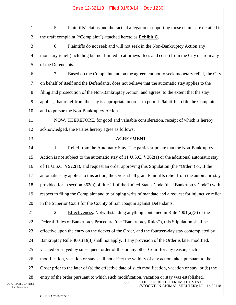| $\mathbf{1}$    | 5.<br>Plaintiffs' claims and the factual allegations supporting those claims are detailed in                                                                                    |
|-----------------|---------------------------------------------------------------------------------------------------------------------------------------------------------------------------------|
| $\overline{2}$  | the draft complaint ("Complaint") attached hereto as <b>Exhibit C</b> .                                                                                                         |
| 3               | 6.<br>Plaintiffs do not seek and will not seek in the Non-Bankruptcy Action any                                                                                                 |
| $\overline{4}$  | monetary relief (including but not limited to attorneys' fees and costs) from the City or from any                                                                              |
| 5               | of the Defendants.                                                                                                                                                              |
| 6               | 7.<br>Based on the Complaint and on the agreement not to seek monetary relief, the City                                                                                         |
| 7               | on behalf of itself and the Defendants, does not believe that the automatic stay applies to the                                                                                 |
| 8               | filing and prosecution of the Non-Bankruptcy Action, and agrees, to the extent that the stay                                                                                    |
| 9               | applies, that relief from the stay is appropriate in order to permit Plaintiffs to file the Complaint                                                                           |
| 10              | and to pursue the Non-Bankruptcy Action.                                                                                                                                        |
| 11              | NOW, THEREFORE, for good and valuable consideration, receipt of which is hereby                                                                                                 |
| 12              | acknowledged, the Parties hereby agree as follows:                                                                                                                              |
| 13              | <b>AGREEMENT</b>                                                                                                                                                                |
| 14              | 1.<br>Relief from the Automatic Stay. The parties stipulate that the Non-Bankruptcy                                                                                             |
| 15              | Action is not subject to the automatic stay of 11 U.S.C. $\S$ 362(a) or the additional automatic stay                                                                           |
| 16              | of 11 U.S.C. § 922(a), and request an order approving this Stipulation (the "Order") or, if the                                                                                 |
| 17              | automatic stay applies to this action, the Order shall grant Plaintiffs relief from the automatic stay                                                                          |
| 18              | provided for in section 362(a) of title 11 of the United States Code (the "Bankruptcy Code") with                                                                               |
| 19              | respect to filing the Complaint and to bringing writs of mandate and a request for injunctive relief                                                                            |
| 20              | in the Superior Court for the County of San Joaquin against Defendants.                                                                                                         |
| 21              | Effectiveness. Notwithstanding anything contained in Rule $4001(a)(3)$ of the<br>2.                                                                                             |
| 22              | Federal Rules of Bankruptcy Procedure (the "Bankruptcy Rules"), this Stipulation shall be                                                                                       |
| 23              | effective upon the entry on the docket of the Order, and the fourteen-day stay contemplated by                                                                                  |
| 24              | Bankruptcy Rule $4001(a)(3)$ shall not apply. If any provision of the Order is later modified,                                                                                  |
| 25              | vacated or stayed by subsequent order of this or any other Court for any reason, such                                                                                           |
| 26              | modification, vacation or stay shall not affect the validity of any action taken pursuant to the                                                                                |
| 27              | Order prior to the later of (a) the effective date of such modification, vacation or stay, or (b) the                                                                           |
| 28<br>(US)<br>C | entry of the order pursuant to which such modification, vacation or stay was established.<br>STIP. FOR RELIEF FROM THE STAY<br>$-3-$<br>(STOCKTON ANIMAL SHELTER); NO. 12-32118 |

DLA PIPER LLP SAN FRANCISCO

 $\parallel$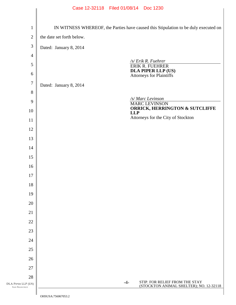|                                            | Case 12-32118 Filed 01/08/14 Doc 1230                                               |
|--------------------------------------------|-------------------------------------------------------------------------------------|
|                                            |                                                                                     |
| $\mathbf{1}$                               | IN WITNESS WHEREOF, the Parties have caused this Stipulation to be duly executed on |
| $\mathbf{2}$                               | the date set forth below.                                                           |
| $\mathfrak{Z}$                             | Dated: January 8, 2014                                                              |
| $\overline{4}$                             |                                                                                     |
| 5                                          | /s/ Erik R. Fuehrer<br>ERIK R. FUEHRER                                              |
| 6                                          | <b>DLA PIPER LLP (US)</b><br><b>Attorneys for Plaintiffs</b>                        |
| $\tau$                                     | Dated: January 8, 2014                                                              |
| $8\,$                                      |                                                                                     |
| 9                                          | /s/ Marc Levinson<br><b>MARC LEVINSON</b>                                           |
| 10                                         | <b>ORRICK, HERRINGTON &amp; SUTCLIFFE</b><br><b>LLP</b>                             |
| 11                                         | Attorneys for the City of Stockton                                                  |
| 12                                         |                                                                                     |
| 13                                         |                                                                                     |
| 14                                         |                                                                                     |
| 15                                         |                                                                                     |
| 16                                         |                                                                                     |
| 17                                         |                                                                                     |
| 18                                         |                                                                                     |
| 19                                         |                                                                                     |
| 20                                         |                                                                                     |
| 21                                         |                                                                                     |
| 22                                         |                                                                                     |
| 23                                         |                                                                                     |
| 24                                         |                                                                                     |
| 25                                         |                                                                                     |
| 26                                         |                                                                                     |
| 27                                         |                                                                                     |
| 28                                         | STIP. FOR RELIEF FROM THE STAY<br>$-4-$                                             |
| DLA PIPER LLP (US)<br><b>SAN FRANCISCO</b> | (STOCKTON ANIMAL SHELTER); NO. 12-32118                                             |
|                                            | $\bigcap$ irir A. <i><math>\pi</math>ecocade</i> ?                                  |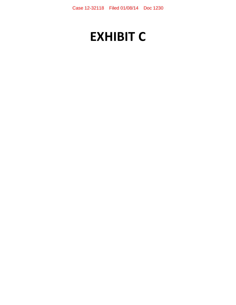# **EXHIBIT C**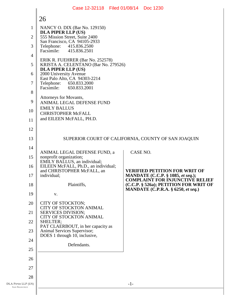|                                            | Case 12-32118 Filed 01/08/14 Doc 1230                                                   |       |                                                                                    |  |  |  |
|--------------------------------------------|-----------------------------------------------------------------------------------------|-------|------------------------------------------------------------------------------------|--|--|--|
|                                            | 26                                                                                      |       |                                                                                    |  |  |  |
| 1                                          | NANCY O. DIX (Bar No. 129150)<br><b>DLA PIPER LLP (US)</b>                              |       |                                                                                    |  |  |  |
| $\overline{2}$                             | 555 Mission Street, Suite 2400<br>San Francisco, CA 94105-2933                          |       |                                                                                    |  |  |  |
| 3                                          | Telephone: 415.836.2500<br>Facsimile: 415.836.2501                                      |       |                                                                                    |  |  |  |
| 4                                          | ERIK R. FUEHRER (Bar No. 252578)                                                        |       |                                                                                    |  |  |  |
| 5                                          | KRISTA A. CELENTANO (Bar No. 279526)<br>DLA PIPER LLP (US)                              |       |                                                                                    |  |  |  |
| 6                                          | 2000 University Avenue<br>East Palo Alto, CA 94303-2214                                 |       |                                                                                    |  |  |  |
| 7                                          | Telephone:<br>650.833.2000<br>Facsimile:<br>650.833.2001                                |       |                                                                                    |  |  |  |
| 8<br>9                                     | Attorneys for Movants,                                                                  |       |                                                                                    |  |  |  |
| 10                                         | ANIMAL LEGAL DEFENSE FUND<br><b>EMILY BALLUS</b>                                        |       |                                                                                    |  |  |  |
| 11                                         | <b>CHRISTOPHER McFALL</b><br>and EILEEN McFALL, PH.D.                                   |       |                                                                                    |  |  |  |
| 12                                         |                                                                                         |       |                                                                                    |  |  |  |
| 13                                         |                                                                                         |       | SUPERIOR COURT OF CALIFORNIA, COUNTY OF SAN JOAQUIN                                |  |  |  |
| 14                                         | CASE NO.                                                                                |       |                                                                                    |  |  |  |
| 15                                         | ANIMAL LEGAL DEFENSE FUND, a<br>nonprofit organization;<br>EMILY BALLUS, an individual; |       |                                                                                    |  |  |  |
| 16                                         | EILEEN McFALL, Ph.D., an individual;<br>and CHRISTOPHER McFALL, an                      |       | <b>VERIFIED PETITION FOR WRIT OF</b>                                               |  |  |  |
| 17                                         | individual;                                                                             |       | <b>MANDATE</b> (C.C.P. § 1085, et seq.);<br><b>COMPLAINT FOR INJUNCTIVE RELIEF</b> |  |  |  |
| 18                                         | Plaintiffs,                                                                             |       | (C.C.P. § 526a); PETITION FOR WRIT OF<br><b>MANDATE</b> (C.P.R.A. § 6250, et seq.) |  |  |  |
| 19                                         | V.                                                                                      |       |                                                                                    |  |  |  |
| 20                                         | CITY OF STOCKTON;<br>CITY OF STOCKTON ANIMAL                                            |       |                                                                                    |  |  |  |
| 21<br>22                                   | <b>SERVICES DIVISION;</b><br>CITY OF STOCKTON ANIMAL                                    |       |                                                                                    |  |  |  |
| 23                                         | SHELTER;<br>PAT CLAERBOUT, in her capacity as<br>Animal Services Supervisor;            |       |                                                                                    |  |  |  |
| 24                                         | DOES 1 through 10, inclusive,                                                           |       |                                                                                    |  |  |  |
| 25                                         | Defendants.                                                                             |       |                                                                                    |  |  |  |
| 26                                         |                                                                                         |       |                                                                                    |  |  |  |
| 27                                         |                                                                                         |       |                                                                                    |  |  |  |
| 28                                         |                                                                                         |       |                                                                                    |  |  |  |
| DLA PIPER LLP (US)<br><b>SAN FRANCISCO</b> |                                                                                         | $-1-$ |                                                                                    |  |  |  |
|                                            |                                                                                         |       |                                                                                    |  |  |  |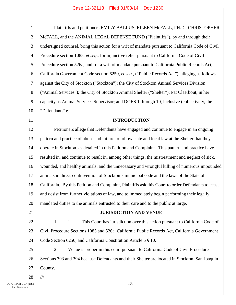| $\mathbf{1}$     | Plaintiffs and petitioners EMILY BALLUS, EILEEN McFALL, PH.D., CHRISTOPHER                         |
|------------------|----------------------------------------------------------------------------------------------------|
| $\overline{2}$   | McFALL, and the ANIMAL LEGAL DEFENSE FUND ("Plaintiffs"), by and through their                     |
| 3                | undersigned counsel, bring this action for a writ of mandate pursuant to California Code of Civil  |
| $\overline{4}$   | Procedure section 1085, et seq., for injunctive relief pursuant to California Code of Civil        |
| 5                | Procedure section 526a, and for a writ of mandate pursuant to California Public Records Act,       |
| 6                | California Government Code section 6250, et seq., ("Public Records Act"), alleging as follows      |
| $\boldsymbol{7}$ | against the City of Stockton ("Stockton"); the City of Stockton Animal Services Division           |
| 8                | ("Animal Services"); the City of Stockton Animal Shelter ("Shelter"); Pat Claerbout, in her        |
| 9                | capacity as Animal Services Supervisor; and DOES 1 through 10, inclusive (collectively, the        |
| 10               | "Defendants"):                                                                                     |
| 11               | <b>INTRODUCTION</b>                                                                                |
| 12               | Petitioners allege that Defendants have engaged and continue to engage in an ongoing               |
| 13               | pattern and practice of abuse and failure to follow state and local law at the Shelter that they   |
| 14               | operate in Stockton, as detailed in this Petition and Complaint. This pattern and practice have    |
| 15               | resulted in, and continue to result in, among other things, the mistreatment and neglect of sick,  |
| 16               | wounded, and healthy animals, and the unnecessary and wrongful killing of numerous impounded       |
| 17               | animals in direct contravention of Stockton's municipal code and the laws of the State of          |
| 18               | California. By this Petition and Complaint, Plaintiffs ask this Court to order Defendants to cease |
| 19               | and desist from further violations of law, and to immediately begin performing their legally       |
| 20               | mandated duties to the animals entrusted to their care and to the public at large.                 |
| 21               | <b>JURISDICTION AND VENUE</b>                                                                      |
| 22               | 1.<br>This Court has jurisdiction over this action pursuant to California Code of<br>1.            |
| 23               | Civil Procedure Sections 1085 and 526a, California Public Records Act, California Government       |
| 24               | Code Section 6250, and California Constitution Article 6 § 10.                                     |
| 25               | 2.<br>Venue is proper in this court pursuant to California Code of Civil Procedure                 |
| 26               | Sections 393 and 394 because Defendants and their Shelter are located in Stockton, San Joaquin     |
| 27               | County.                                                                                            |
| 28               | $\frac{1}{1}$                                                                                      |
| (US)             | $-2-$                                                                                              |

I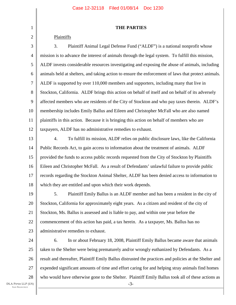#### **THE PARTIES**

#### Plaintiffs

1

2

3 4 5 6 7 8 9 10 11 12 3. Plaintiff Animal Legal Defense Fund ("ALDF") is a national nonprofit whose mission is to advance the interest of animals through the legal system. To fulfill this mission, ALDF invests considerable resources investigating and exposing the abuse of animals, including animals held at shelters, and taking action to ensure the enforcement of laws that protect animals. ALDF is supported by over 110,000 members and supporters, including many that live in Stockton, California. ALDF brings this action on behalf of itself and on behalf of its adversely affected members who are residents of the City of Stockton and who pay taxes therein. ALDF's membership includes Emily Ballus and Eileen and Christopher McFall who are also named plaintiffs in this action. Because it is bringing this action on behalf of members who are taxpayers, ALDF has no administrative remedies to exhaust.

13 14 15 16 17 18 4. To fulfill its mission, ALDF relies on public disclosure laws, like the California Public Records Act, to gain access to information about the treatment of animals. ALDF provided the funds to access public records requested from the City of Stockton by Plaintiffs Eileen and Christopher McFall. As a result of Defendants' unlawful failure to provide public records regarding the Stockton Animal Shelter, ALDF has been denied access to information to which they are entitled and upon which their work depends.

19 20 21 22 23 5. Plaintiff Emily Ballus is an ALDF member and has been a resident in the city of Stockton, California for approximately eight years. As a citizen and resident of the city of Stockton, Ms. Ballus is assessed and is liable to pay, and within one year before the commencement of this action has paid, a tax herein. As a taxpayer, Ms. Ballus has no administrative remedies to exhaust.

24 25 26 27 28 -3- 6. In or about February 18, 2008, Plaintiff Emily Ballus became aware that animals taken to the Shelter were being prematurely and/or wrongly euthanized by Defendants. As a result and thereafter, Plaintiff Emily Ballus distrusted the practices and policies at the Shelter and expended significant amounts of time and effort caring for and helping stray animals find homes who would have otherwise gone to the Shelter. Plaintiff Emily Ballus took all of these actions as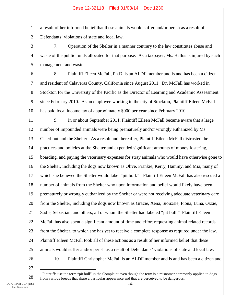1 2 a result of her informed belief that these animals would suffer and/or perish as a result of Defendants' violations of state and local law.

3 4 5 7. Operation of the Shelter in a manner contrary to the law constitutes abuse and waste of the public funds allocated for that purpose. As a taxpayer, Ms. Ballus is injured by such management and waste.

6

7 8 9 10 8. Plaintiff Eileen McFall, Ph.D. is an ALDF member and is and has been a citizen and resident of Calaveras County, California since August 2011. Dr. McFall has worked in Stockton for the University of the Pacific as the Director of Learning and Academic Assessment since February 2010. As an employee working in the city of Stockton, Plaintiff Eileen McFall has paid local income tax of approximately \$900 per year since February 2010.

11 12 13 14 15 16 17 18 19 20 21 22 23 24 25 9. In or about September 2011, Plaintiff Eileen McFall became aware that a large number of impounded animals were being prematurely and/or wrongly euthanized by Ms. Claerbout and the Shelter. As a result and thereafter, Plaintiff Eileen McFall distrusted the practices and policies at the Shelter and expended significant amounts of money fostering, boarding, and paying the veterinary expenses for stray animals who would have otherwise gone to the Shelter, including the dogs now known as Olive, Frankie, Kerry, Hammy, and Mia, many of which she believed the Shelter would label "pit bull."<sup>1</sup> Plaintiff Eileen McFall has also rescued a number of animals from the Shelter who upon information and belief would likely have been prematurely or wrongly euthanized by the Shelter or were not receiving adequate veterinary care from the Shelter, including the dogs now known as Gracie, Xena, Siouxsie, Fiona, Luna, Ozzie, Sadie, Sebastian, and others, all of whom the Shelter had labeled "pit bull." Plaintiff Eileen McFall has also spent a significant amount of time and effort requesting animal related records from the Shelter, to which she has yet to receive a complete response as required under the law. Plaintiff Eileen McFall took all of these actions as a result of her informed belief that these animals would suffer and/or perish as a result of Defendants' violations of state and local law. 10. Plaintiff Christopher McFall is an ALDF member and is and has been a citizen and

26

27

28

 $\overline{a}$  $<sup>1</sup>$  Plaintiffs use the term "pit bull" in the Complaint even though the term is a misnomer commonly applied to dogs</sup> from various breeds that share a particular appearance and that are perceived to be dangerous.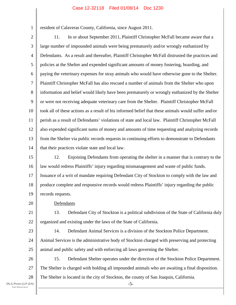resident of Calaveras County, California, since August 2011.

2 3 4 5 6 7 8 9 10 11 12 13 14 11. In or about September 2011, Plaintiff Christopher McFall became aware that a large number of impounded animals were being prematurely and/or wrongly euthanized by Defendants. As a result and thereafter, Plaintiff Christopher McFall distrusted the practices and policies at the Shelter and expended significant amounts of money fostering, boarding, and paying the veterinary expenses for stray animals who would have otherwise gone to the Shelter. Plaintiff Christopher McFall has also rescued a number of animals from the Shelter who upon information and belief would likely have been prematurely or wrongly euthanized by the Shelter or were not receiving adequate veterinary care from the Shelter. Plaintiff Christopher McFall took all of these actions as a result of his informed belief that these animals would suffer and/or perish as a result of Defendants' violations of state and local law. Plaintiff Christopher McFall also expended significant sums of money and amounts of time requesting and analyzing records from the Shelter via public records requests in continuing efforts to demonstrate to Defendants that their practices violate state and local law.

15 16 17 18 19 12. Enjoining Defendants from operating the shelter in a manner that is contrary to the law would redress Plaintiffs' injury regarding mismanagement and waste of public funds. Issuance of a writ of mandate requiring Defendant City of Stockton to comply with the law and produce complete and responsive records would redress Plaintiffs' injury regarding the public records requests.

Defendants

21 22 13. Defendant City of Stockton is a political subdivision of the State of California duly organized and existing under the laws of the State of California.

23 24

25

20

1

14. Defendant Animal Services is a division of the Stockton Police Department. Animal Services is the administrative body of Stockton charged with preserving and protecting animal and public safety and with enforcing all laws governing the Shelter.

26 27 28 15. Defendant Shelter operates under the direction of the Stockton Police Department. The Shelter is charged with holding all impounded animals who are awaiting a final disposition. The Shelter is located in the city of Stockton, the county of San Joaquin, California.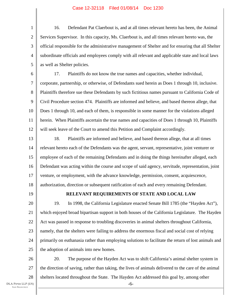1 2 3 4 5 16. Defendant Pat Claerbout is, and at all times relevant hereto has been, the Animal Services Supervisor. In this capacity, Ms. Claerbout is, and all times relevant hereto was, the official responsible for the administrative management of Shelter and for ensuring that all Shelter subordinate officials and employees comply with all relevant and applicable state and local laws as well as Shelter policies.

6 7 8 9 10 11 12 17. Plaintiffs do not know the true names and capacities, whether individual, corporate, partnership, or otherwise, of Defendants sued herein as Does 1 through 10, inclusive. Plaintiffs therefore sue these Defendants by such fictitious names pursuant to California Code of Civil Procedure section 474. Plaintiffs are informed and believe, and based thereon allege, that Does 1 through 10, and each of them, is responsible in some manner for the violations alleged herein. When Plaintiffs ascertain the true names and capacities of Does 1 through 10, Plaintiffs will seek leave of the Court to amend this Petition and Complaint accordingly.

13 14 15 16 17 18 18. Plaintiffs are informed and believe, and based thereon allege, that at all times relevant hereto each of the Defendants was the agent, servant, representative, joint venturer or employee of each of the remaining Defendants and in doing the things hereinafter alleged, each Defendant was acting within the course and scope of said agency, servitude, representation, joint venture, or employment, with the advance knowledge, permission, consent, acquiescence, authorization, direction or subsequent ratification of each and every remaining Defendant.

19

### **RELEVANT REQUIREMENTS OF STATE AND LOCAL LAW**

20 21 22 23 24 25 19. In 1998, the California Legislature enacted Senate Bill 1785 (the "Hayden Act"), which enjoyed broad bipartisan support in both houses of the California Legislature. The Hayden Act was passed in response to troubling discoveries in animal shelters throughout California, namely, that the shelters were failing to address the enormous fiscal and social cost of relying primarily on euthanasia rather than employing solutions to facilitate the return of lost animals and the adoption of animals into new homes.

26 27 28 20. The purpose of the Hayden Act was to shift California's animal shelter system in the direction of saving, rather than taking, the lives of animals delivered to the care of the animal shelters located throughout the State. The Hayden Act addressed this goal by, among other

-6-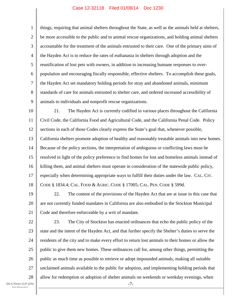1 2 3 4 5 6 7 8 9 things, requiring that animal shelters throughout the State, as well as the animals held at shelters, be more accessible to the public and to animal rescue organizations, and holding animal shelters accountable for the treatment of the animals entrusted to their care. One of the primary aims of the Hayden Act is to reduce the rates of euthanasia in shelters through adoption and the reunification of lost pets with owners, in addition to increasing humane responses to overpopulation and encouraging fiscally responsible, effective shelters. To accomplish these goals, the Hayden Act set mandatory holding periods for stray and abandoned animals, minimum standards of care for animals entrusted to shelter care, and ordered increased accessibility of animals to individuals and nonprofit rescue organizations.

10 11 12 13 14 15 16 17 18 21. The Hayden Act is currently codified in various places throughout the California Civil Code, the California Food and Agricultural Code, and the California Penal Code. Policy sections in each of those Codes clearly express the State's goal that, whenever possible, California shelters promote adoption of healthy and reasonably treatable animals into new homes. Because of the policy sections, the interpretation of ambiguous or conflicting laws must be resolved in light of the policy preference to find homes for lost and homeless animals instead of killing them, and animal shelters must operate in consideration of the statewide public policy, especially when determining appropriate ways to fulfill their duties under the law. CAL. CIV. CODE § 1834.4; CAL. FOOD & AGRIC. CODE § 17005; CAL. PEN. CODE § 599d.

19 20 21 22. The content of the provisions of the Hayden Act that are at issue in this case that are not currently funded mandates in California are also embodied in the Stockton Municipal Code and therefore enforceable by a writ of mandate.

22 23 24 25 26 27 28 -7- 23. The City of Stockton has enacted ordinances that echo the public policy of the state and the intent of the Hayden Act, and that further specify the Shelter's duties to serve the residents of the city and to make every effort to return lost animals to their homes or allow the public to give them new homes. These ordinances call for, among other things, permitting the public as much time as possible to retrieve or adopt impounded animals, making all suitable unclaimed animals available to the public for adoption, and implementing holding periods that allow for redemption or adoption of shelter animals on weekends or weekday evenings, when

DLA PIPER LLP (US) SAN FRANCISCO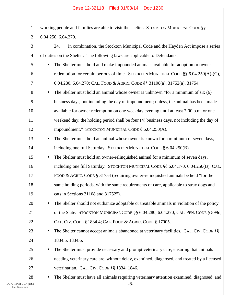| $\mathbf{1}$                                                                                               | working people and families are able to visit the shelter. STOCKTON MUNICIPAL CODE §§                           |  |  |  |
|------------------------------------------------------------------------------------------------------------|-----------------------------------------------------------------------------------------------------------------|--|--|--|
| $\overline{2}$                                                                                             | 6.04.250, 6.04.270.                                                                                             |  |  |  |
| 3                                                                                                          | In combination, the Stockton Municipal Code and the Hayden Act impose a series<br>24.                           |  |  |  |
| $\overline{4}$                                                                                             | of duties on the Shelter. The following laws are applicable to Defendants:                                      |  |  |  |
| 5                                                                                                          | The Shelter must hold and make impounded animals available for adoption or owner<br>$\bullet$                   |  |  |  |
| 6                                                                                                          | redemption for certain periods of time. STOCKTON MUNICIPAL CODE §§ 6.04.250(A)-(C),                             |  |  |  |
| 7                                                                                                          | 6.04.280, 6.04.270; CAL. FOOD & AGRIC. CODE §§ 31108(a), 31752(a), 31754.                                       |  |  |  |
| 8                                                                                                          | The Shelter must hold an animal whose owner is unknown "for a minimum of six (6)<br>$\bullet$                   |  |  |  |
| 9                                                                                                          | business days, not including the day of impoundment; unless, the animal has been made                           |  |  |  |
| 10                                                                                                         | available for owner redemption on one weekday evening until at least 7:00 p.m. or one                           |  |  |  |
| 11                                                                                                         | weekend day, the holding period shall be four (4) business days, not including the day of                       |  |  |  |
| 12                                                                                                         | impoundment." STOCKTON MUNICIPAL CODE § 6.04.250(A).                                                            |  |  |  |
| 13                                                                                                         | The Shelter must hold an animal whose owner is known for a minimum of seven days,<br>$\bullet$                  |  |  |  |
| 14                                                                                                         | including one full Saturday. STOCKTON MUNICIPAL CODE § 6.04.250(B).                                             |  |  |  |
| 15                                                                                                         | The Shelter must hold an owner-relinquished animal for a minimum of seven days,<br>$\bullet$                    |  |  |  |
| 16                                                                                                         | including one full Saturday. STOCKTON MUNICIPAL CODE §§ 6.04.170, 6.04.250(B); CAL.                             |  |  |  |
| 17                                                                                                         | FOOD & AGRIC. CODE $\S 31754$ (requiring owner-relinquished animals be held "for the                            |  |  |  |
| 18                                                                                                         | same holding periods, with the same requirements of care, applicable to stray dogs and                          |  |  |  |
| 19                                                                                                         | cats in Sections 31108 and 31752").                                                                             |  |  |  |
| 20                                                                                                         | The Shelter should not euthanize adoptable or treatable animals in violation of the policy                      |  |  |  |
| 21<br>of the State. STOCKTON MUNICIPAL CODE §§ 6.04.280, 6.04.270; CAL. PEN. CODE § 599d;                  |                                                                                                                 |  |  |  |
| 22                                                                                                         | CAL. CIV. CODE § 1834.4; CAL. FOOD & AGRIC. CODE § 17005.                                                       |  |  |  |
| 23<br>The Shelter cannot accept animals abandoned at veterinary facilities. CAL. CIV. CODE §§<br>$\bullet$ |                                                                                                                 |  |  |  |
| 24                                                                                                         | 1834.5, 1834.6.                                                                                                 |  |  |  |
| 25                                                                                                         | The Shelter must provide necessary and prompt veterinary care, ensuring that animals<br>$\bullet$               |  |  |  |
| 26                                                                                                         | needing veterinary care are, without delay, examined, diagnosed, and treated by a licensed                      |  |  |  |
| 27                                                                                                         | veterinarian. CAL. CIV. CODE §§ 1834, 1846.                                                                     |  |  |  |
| 28<br>DLA PIPER LLP (US)<br><b>SAN FRANCISCO</b>                                                           | The Shelter must have all animals requiring veterinary attention examined, diagnosed, and<br>$\bullet$<br>$-8-$ |  |  |  |
|                                                                                                            |                                                                                                                 |  |  |  |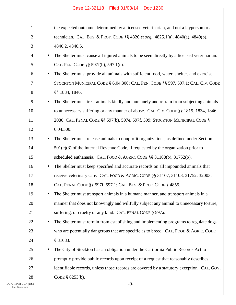| $\mathbf{1}$ |           | the expected outcome determined by a licensed veterinarian, and not a layperson or a       |
|--------------|-----------|--------------------------------------------------------------------------------------------|
| 2            |           | technician. CAL. BUS. & PROF. CODE §§ 4826 et seq., 4825.1(a), 4840(a), 4840(b),           |
| 3            |           | 4840.2, 4840.5.                                                                            |
| 4            | $\bullet$ | The Shelter must cause all injured animals to be seen directly by a licensed veterinarian. |
| 5            |           | CAL. PEN. CODE §§ 597f(b), 597.1(c).                                                       |
| 6            | $\bullet$ | The Shelter must provide all animals with sufficient food, water, shelter, and exercise.   |
| 7            |           | STOCKTON MUNICIPAL CODE § 6.04.300; CAL. PEN. CODE § § 597, 597.1; CAL. CIV. CODE          |
| 8            |           | §§ 1834, 1846.                                                                             |
| 9            | $\bullet$ | The Shelter must treat animals kindly and humanely and refrain from subjecting animals     |
| 10           |           | to unnecessary suffering or any manner of abuse. CAL. CIV. CODE §§ 1815, 1834, 1846,       |
| 11           |           | 2080; CAL. PENAL CODE §§ 597(b), 597e, 597f, 599; STOCKTON MUNICIPAL CODE §                |
| 12           |           | 6.04.300.                                                                                  |
| 13           | $\bullet$ | The Shelter must release animals to nonprofit organizations, as defined under Section      |
| 14           |           | $501(c)(3)$ of the Internal Revenue Code, if requested by the organization prior to        |
| 15           |           | scheduled euthanasia. CAL. FOOD & AGRIC. CODE §§ 31108(b), 31752(b).                       |
| 16           | $\bullet$ | The Shelter must keep specified and accurate records on all impounded animals that         |
| 17           |           | receive veterinary care. CAL. FOOD & AGRIC. CODE §§ 31107, 31108, 31752, 32003;            |
| 18           |           | CAL. PENAL CODE §§ 597f, 597.1; CAL. BUS. & PROF. CODE § 4855.                             |
| 19           |           | The Shelter must transport animals in a humane manner, and transport animals in a          |
| 20           |           | manner that does not knowingly and willfully subject any animal to unnecessary torture,    |
| 21           |           | suffering, or cruelty of any kind. CAL. PENAL CODE § 597a.                                 |
| 22           | $\bullet$ | The Shelter must refrain from establishing and implementing programs to regulate dogs      |
| 23           |           | who are potentially dangerous that are specific as to breed. CAL. FOOD & AGRIC. CODE       |
| 24           |           | § 31683.                                                                                   |
| 25           | $\bullet$ | The City of Stockton has an obligation under the California Public Records Act to          |
| 26           |           | promptly provide public records upon receipt of a request that reasonably describes        |
| 27           |           | identifiable records, unless those records are covered by a statutory exception. CAL. GOV. |
| 28           |           | CODE § 6253(b).                                                                            |
| P(US)        |           | $-9-$                                                                                      |
|              |           |                                                                                            |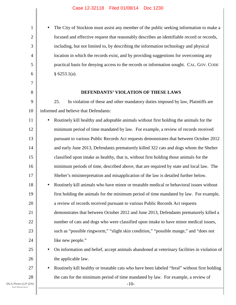• The City of Stockton must assist any member of the public seeking information to make a focused and effective request that reasonably describes an identifiable record or records, including, but not limited to, by describing the information technology and physical location in which the records exist, and by providing suggestions for overcoming any practical basis for denying access to the records or information sought. CAL. GOV. CODE  $§ 6253.1(a).$ 

#### **DEFENDANTS' VIOLATION OF THESE LAWS**

9 10 25. In violation of these and other mandatory duties imposed by law, Plaintiffs are informed and believe that Defendants:

11 12 13 14 15 16 17 18 19 20 21 22 23 24 25 • Routinely kill healthy and adoptable animals without first holding the animals for the minimum period of time mandated by law. For example, a review of records received pursuant to various Public Records Act requests demonstrates that between October 2012 and early June 2013, Defendants prematurely killed 322 cats and dogs whom the Shelter classified upon intake as healthy, that is, without first holding those animals for the minimum periods of time, described above, that are required by state and local law. The Shelter's misinterpretation and misapplication of the law is detailed further below. • Routinely kill animals who have minor or treatable medical or behavioral issues without first holding the animals for the minimum period of time mandated by law. For example, a review of records received pursuant to various Public Records Act requests demonstrates that between October 2012 and June 2013, Defendants prematurely killed a number of cats and dogs who were classified upon intake to have minor medical issues, such as "possible ringworm," "slight skin condition," "possible mange," and "does not like new people." • On information and belief, accept animals abandoned at veterinary facilities in violation of

the applicable law.

• Routinely kill healthy or treatable cats who have been labeled "feral" without first holding the cats for the minimum period of time mandated by law. For example, a review of

-10-

DLA PIPER LLP (US) SAN FRANCISCO

26

27

28

1

2

3

4

5

6

7

8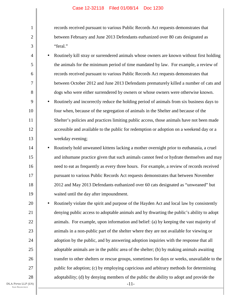records received pursuant to various Public Records Act requests demonstrates that between February and June 2013 Defendants euthanized over 80 cats designated as "feral."

4 5 6 7 8 9 10 11 • Routinely kill stray or surrendered animals whose owners are known without first holding the animals for the minimum period of time mandated by law. For example, a review of records received pursuant to various Public Records Act requests demonstrates that between October 2012 and June 2013 Defendants prematurely killed a number of cats and dogs who were either surrendered by owners or whose owners were otherwise known. • Routinely and incorrectly reduce the holding period of animals from six business days to four when, because of the segregation of animals in the Shelter and because of the Shelter's policies and practices limiting public access, those animals have not been made

accessible and available to the public for redemption or adoption on a weekend day or a weekday evening;

1

2

3

12

13

14 15 16 17 18 19 • Routinely hold unweaned kittens lacking a mother overnight prior to euthanasia, a cruel and inhumane practice given that such animals cannot feed or hydrate themselves and may need to eat as frequently as every three hours. For example, a review of records received pursuant to various Public Records Act requests demonstrates that between November 2012 and May 2013 Defendants euthanized over 60 cats designated as "unweaned" but waited until the day after impoundment.

20 21 22 23 24 25 26 27 28 • Routinely violate the spirit and purpose of the Hayden Act and local law by consistently denying public access to adoptable animals and by thwarting the public's ability to adopt animals. For example, upon information and belief: (a) by keeping the vast majority of animals in a non-public part of the shelter where they are not available for viewing or adoption by the public, and by answering adoption inquiries with the response that all adoptable animals are in the public area of the shelter; (b) by making animals awaiting transfer to other shelters or rescue groups, sometimes for days or weeks, unavailable to the public for adoption; (c) by employing capricious and arbitrary methods for determining adoptability; (d) by denying members of the public the ability to adopt and provide the

DLA PIPER LLP (US) SAN FRANCISCO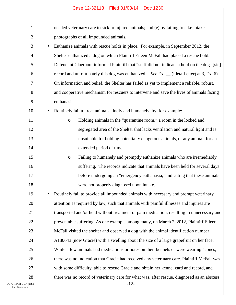| 1                                          | needed veterinary care to sick or injured animals; and (e) by failing to take intake           |  |  |  |
|--------------------------------------------|------------------------------------------------------------------------------------------------|--|--|--|
| $\overline{2}$                             | photographs of all impounded animals.                                                          |  |  |  |
| 3                                          | Euthanize animals with rescue holds in place. For example, in September 2012, the<br>$\bullet$ |  |  |  |
| 4                                          | Shelter euthanized a dog on which Plaintiff Eileen McFall had placed a rescue hold.            |  |  |  |
| 5                                          | Defendant Claerbout informed Plaintiff that "staff did not indicate a hold on the dogs [sic]   |  |  |  |
| 6                                          | record and unfortunately this dog was euthanized." See Ex. _ (Ideta Letter) at 3, Ex. 6).      |  |  |  |
| 7                                          | On information and belief, the Shelter has failed as yet to implement a reliable, robust,      |  |  |  |
| 8                                          | and cooperative mechanism for rescuers to intervene and save the lives of animals facing       |  |  |  |
| 9                                          | euthanasia.                                                                                    |  |  |  |
| 10                                         | Routinely fail to treat animals kindly and humanely, by, for example:<br>٠                     |  |  |  |
| 11                                         | Holding animals in the "quarantine room," a room in the locked and<br>$\circ$                  |  |  |  |
| 12                                         | segregated area of the Shelter that lacks ventilation and natural light and is                 |  |  |  |
| 13                                         | unsuitable for holding potentially dangerous animals, or any animal, for an                    |  |  |  |
| 14                                         | extended period of time.                                                                       |  |  |  |
| 15                                         | Failing to humanely and promptly euthanize animals who are irremediably<br>$\circ$             |  |  |  |
| 16                                         | suffering. The records indicate that animals have been held for several days                   |  |  |  |
| 17                                         | before undergoing an "emergency euthanasia," indicating that these animals                     |  |  |  |
| 18                                         | were not properly diagnosed upon intake.                                                       |  |  |  |
| 19                                         | Routinely fail to provide all impounded animals with necessary and prompt veterinary           |  |  |  |
| 20                                         | attention as required by law, such that animals with painful illnesses and injuries are        |  |  |  |
| 21                                         | transported and/or held without treatment or pain medication, resulting in unnecessary and     |  |  |  |
| 22                                         | preventable suffering. As one example among many, on March 2, 2012, Plaintiff Eileen           |  |  |  |
| 23                                         | McFall visited the shelter and observed a dog with the animal identification number            |  |  |  |
| 24                                         | A180643 (now Gracie) with a swelling about the size of a large grapefruit on her face.         |  |  |  |
| 25                                         | While a few animals had medications or notes on their kennels or were wearing "cones,"         |  |  |  |
| 26                                         | there was no indication that Gracie had received any veterinary care. Plaintiff McFall was,    |  |  |  |
| 27                                         | with some difficulty, able to rescue Gracie and obtain her kennel card and record, and         |  |  |  |
| 28                                         | there was no record of veterinary care for what was, after rescue, diagnosed as an abscess     |  |  |  |
| DLA PIPER LLP (US)<br><b>SAN FRANCISCO</b> | $-12-$                                                                                         |  |  |  |

I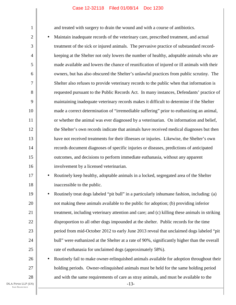and treated with surgery to drain the wound and with a course of antibiotics.

2 3 4 5 6 8 10 12 13 14 15 16 • Maintain inadequate records of the veterinary care, prescribed treatment, and actual treatment of the sick or injured animals. The pervasive practice of substandard recordkeeping at the Shelter not only lowers the number of healthy, adoptable animals who are made available and lowers the chance of reunification of injured or ill animals with their owners, but has also obscured the Shelter's unlawful practices from public scrutiny. The Shelter also refuses to provide veterinary records to the public when that information is requested pursuant to the Public Records Act. In many instances, Defendants' practice of maintaining inadequate veterinary records makes it difficult to determine if the Shelter made a correct determination of "irremediable suffering" prior to euthanizing an animal, or whether the animal was ever diagnosed by a veterinarian. On information and belief, the Shelter's own records indicate that animals have received medical diagnoses but then have not received treatments for their illnesses or injuries. Likewise, the Shelter's own records document diagnoses of specific injuries or diseases, predictions of anticipated outcomes, and decisions to perform immediate euthanasia, without any apparent involvement by a licensed veterinarian.

# 17 18

19

20

21

22

23

24

25

26

27

28

1

7

9

11

• Routinely keep healthy, adoptable animals in a locked, segregated area of the Shelter inaccessible to the public.

• Routinely treat dogs labeled "pit bull" in a particularly inhumane fashion, including: (a) not making these animals available to the public for adoption; (b) providing inferior treatment, including veterinary attention and care; and (c) killing these animals in striking disproportion to all other dogs impounded at the shelter. Public records for the time period from mid-October 2012 to early June 2013 reveal that unclaimed dogs labeled "pit bull" were euthanized at the Shelter at a rate of 90%, significantly higher than the overall rate of euthanasia for unclaimed dogs (approximately 58%).

• Routinely fail to make owner-relinquished animals available for adoption throughout their holding periods. Owner-relinquished animals must be held for the same holding period and with the same requirements of care as stray animals, and must be available to the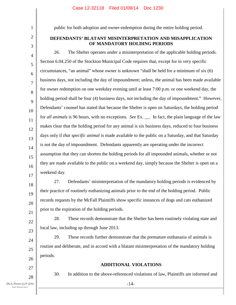1 2

3

public for both adoption and owner-redemption during the entire holding period.

# **DEFENDANTS' BLATANT MISINTERPRETATION AND MISAPPLICATION OF MANDATORY HOLDING PERIODS**

4 5 6 7 8 9 10 11 12 13 14 15 16 17 26. The Shelter operates under a misinterpretation of the applicable holding periods. Section 6.04.250 of the Stockton Municipal Code requires that, except for in very specific circumstances, "an animal" whose owner is unknown "shall be held for a minimum of six (6) business days, not including the day of impoundment; unless, the animal has been made available for owner redemption on one weekday evening until at least 7:00 p.m. or one weekend day, the holding period shall be four (4) business days, not including the day of impoundment." However, Defendants' counsel has stated that because the Shelter is open on Saturdays, the holding period for *all animals* is 96 hours, with no exceptions. *See* Ex. . In fact, the plain language of the law makes clear that the holding period for any animal is six business days, reduced to four business days only if *that specific animal* is made available to the public on a Saturday, and that Saturday is not the day of impoundment. Defendants apparently are operating under the incorrect assumption that they can shorten the holding periods for all impounded animals, whether or not they are made available to the public on a weekend day, simply because the Shelter is open on a weekend day.

18 19 20 21 27. Defendants' misinterpretation of the mandatory holding periods is evidenced by their practice of routinely euthanizing animals prior to the end of the holding period. Public records requests by the McFall Plaintiffs show specific instances of dogs and cats euthanized prior to the expiration of the holding periods.

28. These records demonstrate that the Shelter has been routinely violating state and local law, including up through June 2013.

29. These records further demonstrate that the premature euthanasia of animals is routine and deliberate, and in accord with a blatant misinterpretation of the mandatory holding periods.

27 28

22

23

24

25

26

# **ADDITIONAL VIOLATIONS**

-14-

30. In addition to the above-referenced violations of law, Plaintiffs are informed and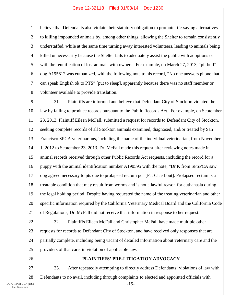1 2 3 4 5 6 7 8 believe that Defendants also violate their statutory obligation to promote life-saving alternatives to killing impounded animals by, among other things, allowing the Shelter to remain consistently understaffed, while at the same time turning away interested volunteers, leading to animals being killed unnecessarily because the Shelter fails to adequately assist the public with adoptions or with the reunification of lost animals with owners. For example, on March 27, 2013, "pit bull" dog A195612 was euthanized, with the following note to his record, "No one answers phone that can speak English ok to PTS" [put to sleep], apparently because there was no staff member or volunteer available to provide translation.

9 10 11 12 13 14 15 16 17 18 19 20 21 31. Plaintiffs are informed and believe that Defendant City of Stockton violated the law by failing to produce records pursuant to the Public Records Act. For example, on September 23, 2013, Plaintiff Eileen McFall, submitted a request for records to Defendant City of Stockton, seeking complete records of all Stockton animals examined, diagnosed, and/or treated by San Francisco SPCA veterinarians, including the name of the individual veterinarian, from November 1, 2012 to September 23, 2013. Dr. McFall made this request after reviewing notes made in animal records received through other Public Records Act requests, including the record for a puppy with the animal identification number A190595 with the note, "Dr K from SFSPCA saw dog agreed necessary to pts due to prolapsed rectum pc" [Pat Claerbout]. Prolapsed rectum is a treatable condition that may result from worms and is not a lawful reason for euthanasia during the legal holding period. Despite having requested the name of the treating veterinarian and other specific information required by the California Veterinary Medical Board and the California Code of Regulations, Dr. McFall did not receive that information in response to her request.

22 23 24 25 32. Plaintiffs Eileen McFall and Christopher McFall have made multiple other requests for records to Defendant City of Stockton, and have received only responses that are partially complete, including being vacant of detailed information about veterinary care and the providers of that care, in violation of applicable law.

26

# **PLAINTIFFS' PRE-LITIGATION ADVOCACY**

27 28 -15- 33. After repeatedly attempting to directly address Defendants' violations of law with Defendants to no avail, including through complaints to elected and appointed officials with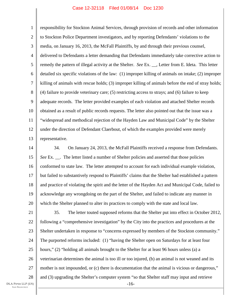1 2 3 4 5 6 7 8 9 10 11 12 13 responsibility for Stockton Animal Services, through provision of records and other information to Stockton Police Department investigators, and by reporting Defendants' violations to the media, on January 16, 2013, the McFall Plaintiffs, by and through their previous counsel, delivered to Defendants a letter demanding that Defendants immediately take corrective action to remedy the pattern of illegal activity at the Shelter. *See* Ex. \_\_, Letter from E. Ideta. This letter detailed six specific violations of the law: (1) improper killing of animals on intake; (2) improper killing of animals with rescue holds; (3) improper killing of animals before the end of stray holds; (4) failure to provide veterinary care; (5) restricting access to strays; and (6) failure to keep adequate records. The letter provided examples of each violation and attached Shelter records obtained as a result of public records requests. The letter also pointed out that the issue was a "widespread and methodical rejection of the Hayden Law and Municipal Code" by the Shelter under the direction of Defendant Claerbout, of which the examples provided were merely representative.

14 15 16 17 18 19 20 34. On January 24, 2013, the McFall Plaintiffs received a response from Defendants. *See* Ex. . The letter listed a number of Shelter policies and asserted that those policies conformed to state law. The letter attempted to account for each individual example violation, but failed to substantively respond to Plaintiffs' claims that the Shelter had established a pattern and practice of violating the spirit and the letter of the Hayden Act and Municipal Code, failed to acknowledge any wrongdoing on the part of the Shelter, and failed to indicate any manner in which the Shelter planned to alter its practices to comply with the state and local law.

21 22 23 24 25 26 27 28 -16- 35. The letter touted supposed reforms that the Shelter put into effect in October 2012, following a "comprehensive investigation" by the City into the practices and procedures at the Shelter undertaken in response to "concerns expressed by members of the Stockton community." The purported reforms included: (1) "having the Shelter open on Saturdays for at least four hours," (2) "holding all animals brought to the Shelter for at least 96 hours unless (a) a veterinarian determines the animal is too ill or too injured, (b) an animal is not weaned and its mother is not impounded, or (c) there is documentation that the animal is vicious or dangerous," and (3) upgrading the Shelter's computer system "so that Shelter staff may input and retrieve

DLA PIPER LLP (US) SAN FRANCISCO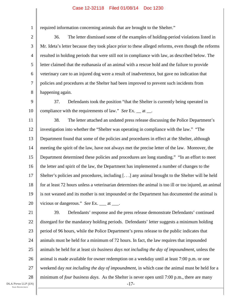required information concerning animals that are brought to the Shelter."

3 4 5 6 7 8 36. The letter dismissed some of the examples of holding-period violations listed in Mr. Ideta's letter because they took place prior to these alleged reforms, even though the reforms resulted in holding periods that were still not in compliance with law, as described below. The letter claimed that the euthanasia of an animal with a rescue hold and the failure to provide veterinary care to an injured dog were a result of inadvertence, but gave no indication that policies and procedures at the Shelter had been improved to prevent such incidents from happening again.

9 10 37. Defendants took the position "that the Shelter is currently being operated in compliance with the requirements of law." *See* Ex. at .

11 12 13 14 15 16 17 18 19 20 38. The letter attached an undated press release discussing the Police Department's investigation into whether the "Shelter was operating in compliance with the law." "The Department found that some of the policies and procedures in effect at the Shelter, although meeting the spirit of the law, have not always met the precise letter of the law. Moreover, the Department determined these policies and procedures are long standing." "In an effort to meet the letter and spirit of the law, the Department has implemented a number of changes to the Shelter's policies and procedures, including [. . .] any animal brought to the Shelter will be held for at least 72 hours unless a veterinarian determines the animal is too ill or too injured, an animal is not weaned and its mother is not impounded or the Department has documented the animal is vicious or dangerous." *See* Ex. \_\_\_ at \_\_\_.

DLA PIPER LLP (US) SAN FRANCISCO 22 23 24 25 26 27 28

21 -17- 39. Defendants' response and the press release demonstrate Defendants' continued disregard for the mandatory holding periods. Defendants' letter suggests a minimum holding period of 96 hours, while the Police Department's press release to the public indicates that animals must be held for a minimum of 72 hours. In fact, the law requires that impounded animals be held for at least *six business days not including the day of impoundment*, unless the animal is made available for owner redemption on a weekday until at least 7:00 p.m. or one weekend day *not including the day of impoundment*, in which case the animal must be held for a minimum of *four business days*. As the Shelter is never open until 7:00 p.m., there are many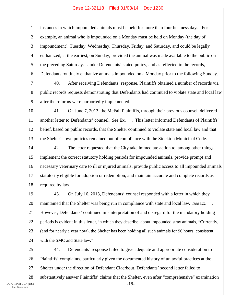1 2 3 4 5 6 7 8 9 10 11 12 13 14 15 16 17 18 19 20 21 22 23 24 25 instances in which impounded animals must be held for more than four business days. For example, an animal who is impounded on a Monday must be held on Monday (the day of impoundment), Tuesday, Wednesday, Thursday, Friday, and Saturday, and could be legally euthanized, at the earliest, on Sunday, provided the animal was made available to the public on the preceding Saturday. Under Defendants' stated policy, and as reflected in the records, Defendants routinely euthanize animals impounded on a Monday prior to the following Sunday. 40. After receiving Defendants' response, Plaintiffs obtained a number of records via public records requests demonstrating that Defendants had continued to violate state and local law after the reforms were purportedly implemented. 41. On June 7, 2013, the McFall Plaintiffs, through their previous counsel, delivered another letter to Defendants' counsel. *See* Ex. \_\_. This letter informed Defendants of Plaintiffs' belief, based on public records, that the Shelter continued to violate state and local law and that the Shelter's own policies remained out of compliance with the Stockton Municipal Code. 42. The letter requested that the City take immediate action to, among other things, implement the correct statutory holding periods for impounded animals, provide prompt and necessary veterinary care to ill or injured animals, provide public access to all impounded animals statutorily eligible for adoption or redemption, and maintain accurate and complete records as required by law. 43. On July 16, 2013, Defendants' counsel responded with a letter in which they maintained that the Shelter was being run in compliance with state and local law. *See* Ex. \_\_. However, Defendants' continued misinterpretation of and disregard for the mandatory holding periods is evident in this letter, in which they describe, about impounded stray animals, "Currently, (and for nearly a year now), the Shelter has been holding all such animals for 96 hours, consistent with the SMC and State law."

26 27 28 -18- 44. Defendants' response failed to give adequate and appropriate consideration to Plaintiffs' complaints, particularly given the documented history of unlawful practices at the Shelter under the direction of Defendant Claerbout. Defendants' second letter failed to substantively answer Plaintiffs' claims that the Shelter, even after "comprehensive" examination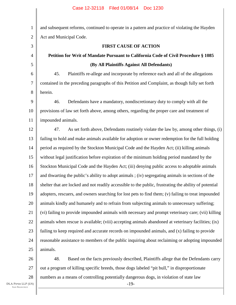1 2 3 4 5 6 7 8 9 10 11 12 13 14 15 16 17 18 19 20 21 22 23 24 25 26 and subsequent reforms, continued to operate in a pattern and practice of violating the Hayden Act and Municipal Code. **FIRST CAUSE OF ACTION Petition for Writ of Mandate Pursuant to California Code of Civil Procedure § 1085 (By All Plaintiffs Against All Defendants)**  45. Plaintiffs re-allege and incorporate by reference each and all of the allegations contained in the preceding paragraphs of this Petition and Complaint, as though fully set forth herein. 46. Defendants have a mandatory, nondiscretionary duty to comply with all the provisions of law set forth above, among others, regarding the proper care and treatment of impounded animals. 47. As set forth above, Defendants routinely violate the law by, among other things, (i) failing to hold and make animals available for adoption or owner redemption for the full holding period as required by the Stockton Municipal Code and the Hayden Act; (ii) killing animals without legal justification before expiration of the minimum holding period mandated by the Stockton Municipal Code and the Hayden Act; (iii) denying public access to adoptable animals and thwarting the public's ability to adopt animals ; (iv) segregating animals in sections of the shelter that are locked and not readily accessible to the public, frustrating the ability of potential adopters, rescuers, and owners searching for lost pets to find them; (v) failing to treat impounded animals kindly and humanely and to refrain from subjecting animals to unnecessary suffering; (vi) failing to provide impounded animals with necessary and prompt veterinary care; (vii) killing animals when rescue is available; (viii) accepting animals abandoned at veterinary facilities; (ix) failing to keep required and accurate records on impounded animals, and (x) failing to provide reasonable assistance to members of the public inquiring about reclaiming or adopting impounded animals. 48. Based on the facts previously described, Plaintiffs allege that the Defendants carry

27 28 out a program of killing specific breeds, those dogs labeled "pit bull," in disproportionate numbers as a means of controlling potentially dangerous dogs, in violation of state law

-19-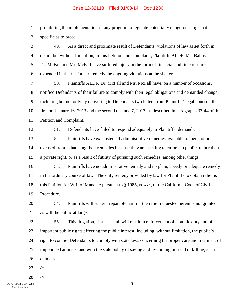1 2 prohibiting the implementation of any program to regulate potentially dangerous dogs that is specific as to breed.

3 4 5 6 49. As a direct and proximate result of Defendants' violations of law as set forth in detail, but without limitation, in this Petition and Complaint, Plaintiffs ALDF, Ms. Ballus, Dr. McFall and Mr. McFall have suffered injury in the form of financial and time resources expended in their efforts to remedy the ongoing violations at the shelter.

7 8 9 10 11 50. Plaintiffs ALDF, Dr. McFall and Mr. McFall have, on a number of occasions, notified Defendants of their failure to comply with their legal obligations and demanded change, including but not only by delivering to Defendants two letters from Plaintiffs' legal counsel, the first on January 16, 2013 and the second on June 7, 2013, as described in paragraphs 33-44 of this Petition and Complaint.

12

51. Defendants have failed to respond adequately to Plaintiffs' demands.

13 14 15 52. Plaintiffs have exhausted all administrative remedies available to them, or are excused from exhausting their remedies because they are seeking to enforce a public, rather than a private right, or as a result of futility of pursuing such remedies, among other things.

16 17 18 19 53. Plaintiffs have no administrative remedy and no plain, speedy or adequate remedy in the ordinary course of law. The only remedy provided by law for Plaintiffs to obtain relief is this Petition for Writ of Mandate pursuant to § 1085, *et seq*., of the California Code of Civil Procedure.

20 21 54. Plaintiffs will suffer irreparable harm if the relief requested herein is not granted, as will the public at large.

22 23 24 25 26 55. This litigation, if successful, will result in enforcement of a public duty and of important public rights affecting the public interest, including, without limitation, the public's right to compel Defendants to comply with state laws concerning the proper care and treatment of impounded animals, and with the state policy of saving and re-homing, instead of killing, such animals.

27 ///

28 ///

-20-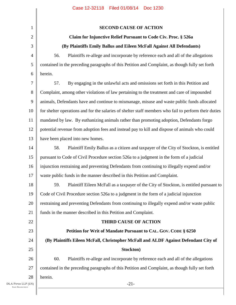| $\mathbf{1}$   | <b>SECOND CAUSE OF ACTION</b>                                                                         |  |  |  |  |
|----------------|-------------------------------------------------------------------------------------------------------|--|--|--|--|
| $\mathfrak{2}$ | Claim for Injunctive Relief Pursuant to Code Civ. Proc. § 526a                                        |  |  |  |  |
| 3              | (By Plaintiffs Emily Ballus and Eileen McFall Against All Defendants)                                 |  |  |  |  |
| $\overline{4}$ | Plaintiffs re-allege and incorporate by reference each and all of the allegations<br>56.              |  |  |  |  |
| 5              | contained in the preceding paragraphs of this Petition and Complaint, as though fully set forth       |  |  |  |  |
| 6              | herein.                                                                                               |  |  |  |  |
| $\overline{7}$ | 57.<br>By engaging in the unlawful acts and omissions set forth in this Petition and                  |  |  |  |  |
| $8\,$          | Complaint, among other violations of law pertaining to the treatment and care of impounded            |  |  |  |  |
| $\mathbf{9}$   | animals, Defendants have and continue to mismanage, misuse and waste public funds allocated           |  |  |  |  |
| 10             | for shelter operations and for the salaries of shelter staff members who fail to perform their duties |  |  |  |  |
| 11             | mandated by law. By euthanizing animals rather than promoting adoption, Defendants forgo              |  |  |  |  |
| 12             | potential revenue from adoption fees and instead pay to kill and dispose of animals who could         |  |  |  |  |
| 13             | have been placed into new homes.                                                                      |  |  |  |  |
| 14             | Plaintiff Emily Ballus as a citizen and taxpayer of the City of Stockton, is entitled<br>58.          |  |  |  |  |
| 15             | pursuant to Code of Civil Procedure section 526a to a judgment in the form of a judicial              |  |  |  |  |
| 16             | injunction restraining and preventing Defendants from continuing to illegally expend and/or           |  |  |  |  |
| 17             | waste public funds in the manner described in this Petition and Complaint.                            |  |  |  |  |
| 18             | 59.<br>Plaintiff Eileen McFall as a taxpayer of the City of Stockton, is entitled pursuant to         |  |  |  |  |
| 19             | Code of Civil Procedure section 526a to a judgment in the form of a judicial injunction               |  |  |  |  |
| 20             | restraining and preventing Defendants from continuing to illegally expend and/or waste public         |  |  |  |  |
| 21             | funds in the manner described in this Petition and Complaint.                                         |  |  |  |  |
| 22             | THIRD CAUSE OF ACTION                                                                                 |  |  |  |  |
| 23             | Petition for Writ of Mandate Pursuant to CAL. GOV. CODE § 6250                                        |  |  |  |  |
| 24             | (By Plaintiffs Eileen McFall, Christopher McFall and ALDF Against Defendant City of                   |  |  |  |  |
| 25             | Stockton)                                                                                             |  |  |  |  |
| 26             | 60.<br>Plaintiffs re-allege and incorporate by reference each and all of the allegations              |  |  |  |  |
| 27             | contained in the preceding paragraphs of this Petition and Complaint, as though fully set forth       |  |  |  |  |
| 28             | herein.                                                                                               |  |  |  |  |
| P(US)<br>CO.   | $-21-$                                                                                                |  |  |  |  |
|                |                                                                                                       |  |  |  |  |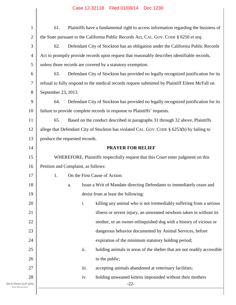| $\mathbf 1$              | Plaintiffs have a fundamental right to access information regarding the business of<br>61.      |  |  |
|--------------------------|-------------------------------------------------------------------------------------------------|--|--|
| $\overline{c}$           | the State pursuant to the California Public Records Act, CAL. GOV. CODE § 6250 et seq.          |  |  |
| 3                        | 62.<br>Defendant City of Stockton has an obligation under the California Public Records         |  |  |
| 4                        | Act to promptly provide records upon request that reasonably describes identifiable records,    |  |  |
| 5                        | unless those records are covered by a statutory exemption.                                      |  |  |
| 6                        | 63.<br>Defendant City of Stockton has provided no legally recognized justification for its      |  |  |
| 7                        | refusal to fully respond to the medical records request submitted by Plaintiff Eileen McFall on |  |  |
| 8                        | September 23, 2013.                                                                             |  |  |
| 9                        | 64.<br>Defendant City of Stockton has provided no legally recognized justification for its      |  |  |
| 10                       | failure to provide complete records in response to Plaintiffs' requests.                        |  |  |
| 11                       | 65.<br>Based on the conduct described in paragraphs 31 through 32 above, Plaintiffs             |  |  |
| 12                       | allege that Defendant City of Stockton has violated CAL. GOV. CODE § 6253(b) by failing to      |  |  |
| 13                       | produce the requested records.                                                                  |  |  |
| 14                       | <b>PRAYER FOR RELIEF</b>                                                                        |  |  |
| 15                       | WHEREFORE, Plaintiffs respectfully request that this Court enter judgment on this               |  |  |
| 16                       | Petition and Complaint, as follows:                                                             |  |  |
| 17                       | 1.<br>On the First Cause of Action:                                                             |  |  |
| 18                       | Issue a Writ of Mandate directing Defendants to immediately cease and<br>a.                     |  |  |
| 19                       | desist from at least the following:                                                             |  |  |
| 20                       | i.<br>killing any animal who is not irremediably suffering from a serious                       |  |  |
| 21                       | illness or severe injury, an unweaned newborn taken in without its                              |  |  |
| 22                       | mother, or an owner-relinquished dog with a history of vicious or                               |  |  |
| 23                       | dangerous behavior documented by Animal Services, before                                        |  |  |
| 24                       | expiration of the minimum statutory holding period;                                             |  |  |
| 25                       | ii.<br>holding animals in areas of the shelter that are not readily accessible                  |  |  |
| 26                       | to the public;                                                                                  |  |  |
| 27                       | iii.<br>accepting animals abandoned at veterinary facilities;                                   |  |  |
| 28<br>DLA PIPER LLP (US) | holding unweaned kittens impounded without their mothers<br>iv.<br>$-22-$                       |  |  |
| <b>SAN FRANCISCO</b>     |                                                                                                 |  |  |
|                          |                                                                                                 |  |  |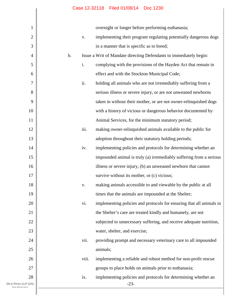Π

| $\mathbf{1}$                               |    |       | overnight or longer before performing euthanasia;                    |
|--------------------------------------------|----|-------|----------------------------------------------------------------------|
| $\mathbf{2}$                               |    | V.    | implementing their program regulating potentially dangerous dogs     |
| 3                                          |    |       | in a manner that is specific as to breed;                            |
| $\overline{4}$                             | b. |       | Issue a Writ of Mandate directing Defendants to immediately begin:   |
| 5                                          |    | i.    | complying with the provisions of the Hayden Act that remain in       |
| 6                                          |    |       | effect and with the Stockton Municipal Code;                         |
| 7                                          |    | ii.   | holding all animals who are not irremediably suffering from a        |
| 8                                          |    |       | serious illness or severe injury, or are not unweaned newborns       |
| 9                                          |    |       | taken in without their mother, or are not owner-relinquished dogs    |
| 10                                         |    |       | with a history of vicious or dangerous behavior documented by        |
| 11                                         |    |       | Animal Services, for the minimum statutory period;                   |
| 12                                         |    | iii.  | making owner-relinquished animals available to the public for        |
| 13                                         |    |       | adoption throughout their statutory holding periods;                 |
| 14                                         |    | iv.   | implementing policies and protocols for determining whether an       |
| 15                                         |    |       | impounded animal is truly (a) irremediably suffering from a serious  |
| 16                                         |    |       | illness or severe injury, (b) an unweaned newborn that cannot        |
| 17                                         |    |       | survive without its mother, or (c) vicious;                          |
| 18                                         |    | V.    | making animals accessible to and viewable by the public at all       |
| 19                                         |    |       | times that the animals are impounded at the Shelter;                 |
| 20                                         |    | vi.   | implementing policies and protocols for ensuring that all animals in |
| 21                                         |    |       | the Shelter's care are treated kindly and humanely, are not          |
| 22                                         |    |       | subjected to unnecessary suffering, and receive adequate nutrition,  |
| 23                                         |    |       | water, shelter, and exercise;                                        |
| 24                                         |    | vii.  | providing prompt and necessary veterinary care to all impounded      |
| 25                                         |    |       | animals;                                                             |
| 26                                         |    | viii. | implementing a reliable and robust method for non-profit rescue      |
| 27                                         |    |       | groups to place holds on animals prior to euthanasia;                |
| 28                                         |    | ix.   | implementing policies and protocols for determining whether an       |
| DLA PIPER LLP (US)<br><b>SAN FRANCISCO</b> |    |       | $-23-$                                                               |
|                                            |    |       |                                                                      |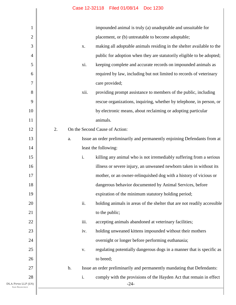Ι

| 1                                          | impounded animal is truly (a) unadoptable and unsuitable for                             |
|--------------------------------------------|------------------------------------------------------------------------------------------|
| $\overline{c}$                             | placement, or (b) untreatable to become adoptable;                                       |
| 3                                          | making all adoptable animals residing in the shelter available to the<br>X.              |
| $\overline{4}$                             | public for adoption when they are statutorily eligible to be adopted;                    |
| 5                                          | keeping complete and accurate records on impounded animals as<br>xi.                     |
| 6                                          | required by law, including but not limited to records of veterinary                      |
| 7                                          | care provided;                                                                           |
| 8                                          | providing prompt assistance to members of the public, including<br>xii.                  |
| 9                                          | rescue organizations, inquiring, whether by telephone, in person, or                     |
| 10                                         | by electronic means, about reclaiming or adopting particular                             |
| 11                                         | animals.                                                                                 |
| 12                                         | 2.<br>On the Second Cause of Action:                                                     |
| 13                                         | Issue an order preliminarily and permanently enjoining Defendants from at<br>a.          |
| 14                                         | least the following:                                                                     |
| 15                                         | i.<br>killing any animal who is not irremediably suffering from a serious                |
| 16                                         | illness or severe injury, an unweaned newborn taken in without its                       |
| 17                                         | mother, or an owner-relinquished dog with a history of vicious or                        |
| 18                                         | dangerous behavior documented by Animal Services, before                                 |
| 19                                         | expiration of the minimum statutory holding period;                                      |
| 20                                         | ii.<br>holding animals in areas of the shelter that are not readily accessible           |
| 21                                         | to the public;                                                                           |
| 22                                         | iii.<br>accepting animals abandoned at veterinary facilities;                            |
| 23                                         | holding unweaned kittens impounded without their mothers<br>iv.                          |
| 24                                         | overnight or longer before performing euthanasia;                                        |
| 25                                         | regulating potentially dangerous dogs in a manner that is specific as<br>V.              |
| 26                                         | to breed;                                                                                |
| 27                                         | Issue an order preliminarily and permanently mandating that Defendants:<br>$\mathbf b$ . |
| 28                                         | i.<br>comply with the provisions of the Hayden Act that remain in effect                 |
| DLA PIPER LLP (US)<br><b>SAN FRANCISCO</b> | $-24-$                                                                                   |
|                                            |                                                                                          |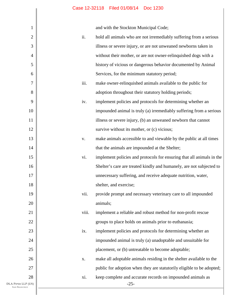and with the Stockton Municipal Code;

| 1                                          |       | and with the Stockton Municipal Code;                                 |
|--------------------------------------------|-------|-----------------------------------------------------------------------|
| $\mathbf{2}$                               | ii.   | hold all animals who are not irremediably suffering from a serious    |
| 3                                          |       | illness or severe injury, or are not unweaned newborns taken in       |
| $\overline{4}$                             |       | without their mother, or are not owner-relinquished dogs with a       |
| 5                                          |       | history of vicious or dangerous behavior documented by Animal         |
| 6                                          |       | Services, for the minimum statutory period;                           |
| $\tau$                                     | iii.  | make owner-relinquished animals available to the public for           |
| 8                                          |       | adoption throughout their statutory holding periods;                  |
| 9                                          | iv.   | implement policies and protocols for determining whether an           |
| 10                                         |       | impounded animal is truly (a) irremediably suffering from a serious   |
| 11                                         |       | illness or severe injury, (b) an unweaned newborn that cannot         |
| 12                                         |       | survive without its mother, or (c) vicious;                           |
| 13                                         | V.    | make animals accessible to and viewable by the public at all times    |
| 14                                         |       | that the animals are impounded at the Shelter;                        |
| 15                                         | vi.   | implement policies and protocols for ensuring that all animals in the |
| 16                                         |       | Shelter's care are treated kindly and humanely, are not subjected to  |
| 17                                         |       | unnecessary suffering, and receive adequate nutrition, water,         |
| 18                                         |       | shelter, and exercise;                                                |
| 19                                         | vii.  | provide prompt and necessary veterinary care to all impounded         |
| 20                                         |       | animals;                                                              |
| 21                                         | viii. | implement a reliable and robust method for non-profit rescue          |
| 22                                         |       | groups to place holds on animals prior to euthanasia;                 |
| 23                                         | ix.   | implement policies and protocols for determining whether an           |
| 24                                         |       | impounded animal is truly (a) unadoptable and unsuitable for          |
| 25                                         |       | placement, or (b) untreatable to become adoptable;                    |
| 26                                         | X.    | make all adoptable animals residing in the shelter available to the   |
| 27                                         |       | public for adoption when they are statutorily eligible to be adopted; |
| 28                                         | xi.   | keep complete and accurate records on impounded animals as            |
| DLA PIPER LLP (US)<br><b>SAN FRANCISCO</b> |       | $-25-$                                                                |
|                                            |       |                                                                       |